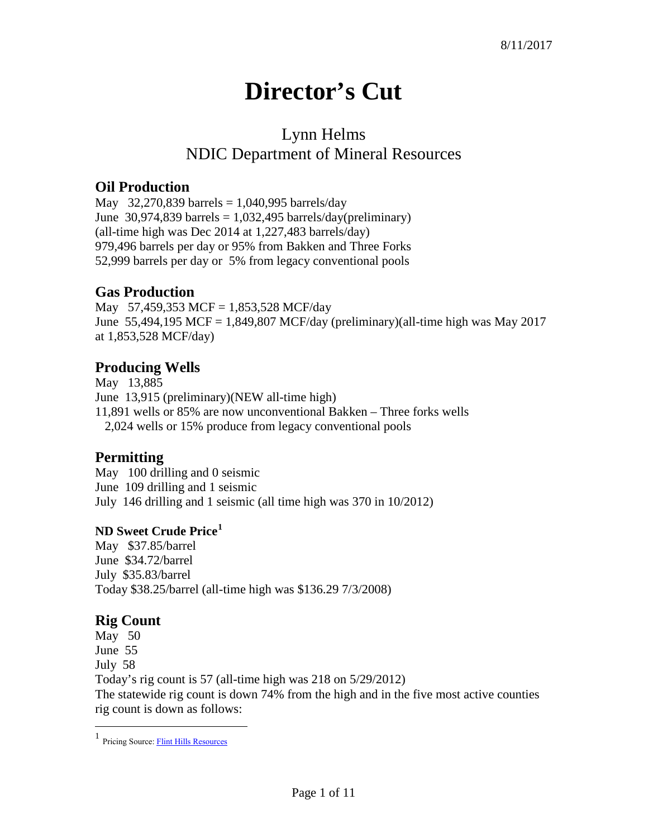# **Director's Cut**

# Lynn Helms NDIC Department of Mineral Resources

### **Oil Production**

May 32,270,839 barrels =  $1,040,995$  barrels/day June  $30,974,839$  barrels = 1,032,495 barrels/day(preliminary) (all-time high was Dec 2014 at 1,227,483 barrels/day) 979,496 barrels per day or 95% from Bakken and Three Forks 52,999 barrels per day or 5% from legacy conventional pools

#### **Gas Production**

May 57,459,353 MCF = 1,853,528 MCF/day June 55,494,195 MCF = 1,849,807 MCF/day (preliminary)(all-time high was May 2017 at 1,853,528 MCF/day)

#### **Producing Wells**

May 13,885 June 13,915 (preliminary)(NEW all-time high) 11,891 wells or 85% are now unconventional Bakken – Three forks wells 2,024 wells or 15% produce from legacy conventional pools

#### **Permitting**

May 100 drilling and 0 seismic June 109 drilling and 1 seismic July 146 drilling and 1 seismic (all time high was 370 in 10/2012)

#### **ND Sweet Crude Price[1](#page-0-0)**

May \$37.85/barrel June \$34.72/barrel July \$35.83/barrel Today \$38.25/barrel (all-time high was \$136.29 7/3/2008)

## **Rig Count**

May 50 June 55 July 58 Today's rig count is 57 (all-time high was 218 on 5/29/2012) The statewide rig count is down 74% from the high and in the five most active counties rig count is down as follows:

<span id="page-0-0"></span> $\frac{1}{1}$ Pricing Source[: Flint Hills Resources](http://www.fhr.com/refining/bulletins.aspx?AspxAutoDetectCookieSupport=1)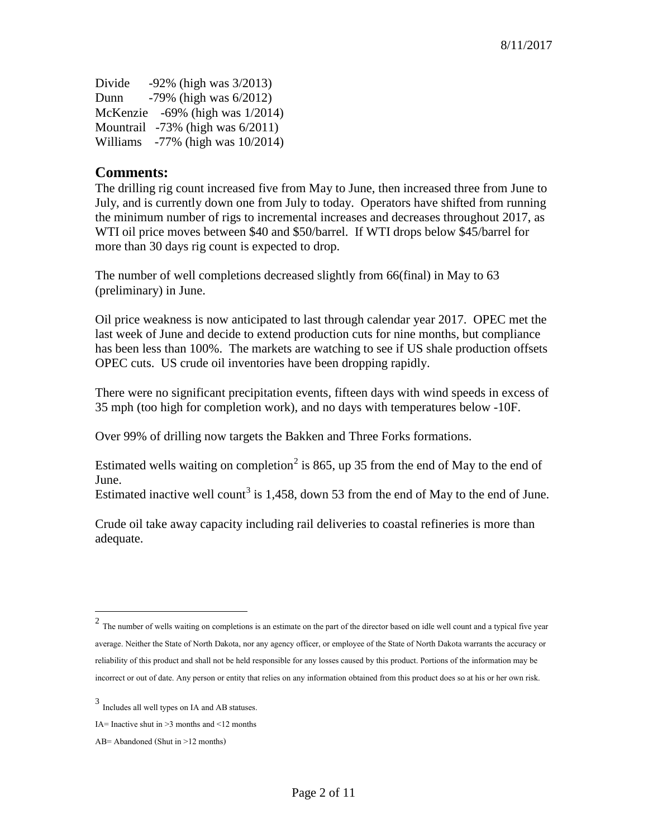Divide  $-92\%$  (high was  $3/2013$ ) Dunn -79% (high was 6/2012) McKenzie -69% (high was 1/2014) Mountrail -73% (high was 6/2011) Williams -77% (high was 10/2014)

#### **Comments:**

The drilling rig count increased five from May to June, then increased three from June to July, and is currently down one from July to today. Operators have shifted from running the minimum number of rigs to incremental increases and decreases throughout 2017, as WTI oil price moves between \$40 and \$50/barrel. If WTI drops below \$45/barrel for more than 30 days rig count is expected to drop.

The number of well completions decreased slightly from 66(final) in May to 63 (preliminary) in June.

Oil price weakness is now anticipated to last through calendar year 2017. OPEC met the last week of June and decide to extend production cuts for nine months, but compliance has been less than 100%. The markets are watching to see if US shale production offsets OPEC cuts. US crude oil inventories have been dropping rapidly.

There were no significant precipitation events, fifteen days with wind speeds in excess of 35 mph (too high for completion work), and no days with temperatures below -10F.

Over 99% of drilling now targets the Bakken and Three Forks formations.

Estimated wells waiting on completion<sup>[2](#page-1-0)</sup> is 865, up 35 from the end of May to the end of June.

Estimated inactive well count<sup>[3](#page-1-1)</sup> is 1,458, down 53 from the end of May to the end of June.

Crude oil take away capacity including rail deliveries to coastal refineries is more than adequate.

<span id="page-1-0"></span><sup>&</sup>lt;sup>2</sup> The number of wells waiting on completions is an estimate on the part of the director based on idle well count and a typical five year average. Neither the State of North Dakota, nor any agency officer, or employee of the State of North Dakota warrants the accuracy or reliability of this product and shall not be held responsible for any losses caused by this product. Portions of the information may be incorrect or out of date. Any person or entity that relies on any information obtained from this product does so at his or her own risk.

<span id="page-1-1"></span><sup>3</sup> Includes all well types on IA and AB statuses.

IA= Inactive shut in  $\geq$ 3 months and  $\leq$ 12 months

AB= Abandoned (Shut in >12 months)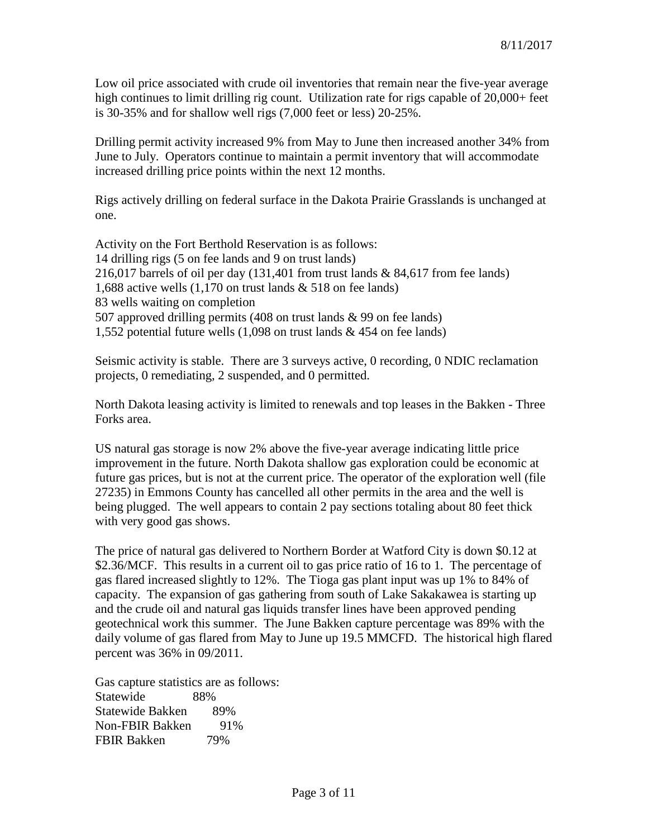Low oil price associated with crude oil inventories that remain near the five-year average high continues to limit drilling rig count. Utilization rate for rigs capable of 20,000+ feet is 30-35% and for shallow well rigs (7,000 feet or less) 20-25%.

Drilling permit activity increased 9% from May to June then increased another 34% from June to July. Operators continue to maintain a permit inventory that will accommodate increased drilling price points within the next 12 months.

Rigs actively drilling on federal surface in the Dakota Prairie Grasslands is unchanged at one.

Activity on the Fort Berthold Reservation is as follows: 14 drilling rigs (5 on fee lands and 9 on trust lands) 216,017 barrels of oil per day (131,401 from trust lands & 84,617 from fee lands) 1,688 active wells (1,170 on trust lands & 518 on fee lands) 83 wells waiting on completion 507 approved drilling permits (408 on trust lands & 99 on fee lands) 1,552 potential future wells (1,098 on trust lands & 454 on fee lands)

Seismic activity is stable. There are 3 surveys active, 0 recording, 0 NDIC reclamation projects, 0 remediating, 2 suspended, and 0 permitted.

North Dakota leasing activity is limited to renewals and top leases in the Bakken - Three Forks area.

US natural gas storage is now 2% above the five-year average indicating little price improvement in the future. North Dakota shallow gas exploration could be economic at future gas prices, but is not at the current price. The operator of the exploration well (file 27235) in Emmons County has cancelled all other permits in the area and the well is being plugged. The well appears to contain 2 pay sections totaling about 80 feet thick with very good gas shows.

The price of natural gas delivered to Northern Border at Watford City is down \$0.12 at \$2.36/MCF. This results in a current oil to gas price ratio of 16 to 1. The percentage of gas flared increased slightly to 12%. The Tioga gas plant input was up 1% to 84% of capacity. The expansion of gas gathering from south of Lake Sakakawea is starting up and the crude oil and natural gas liquids transfer lines have been approved pending geotechnical work this summer. The June Bakken capture percentage was 89% with the daily volume of gas flared from May to June up 19.5 MMCFD. The historical high flared percent was 36% in 09/2011.

Gas capture statistics are as follows: Statewide 88% Statewide Bakken 89% Non-FBIR Bakken 91% FBIR Bakken 79%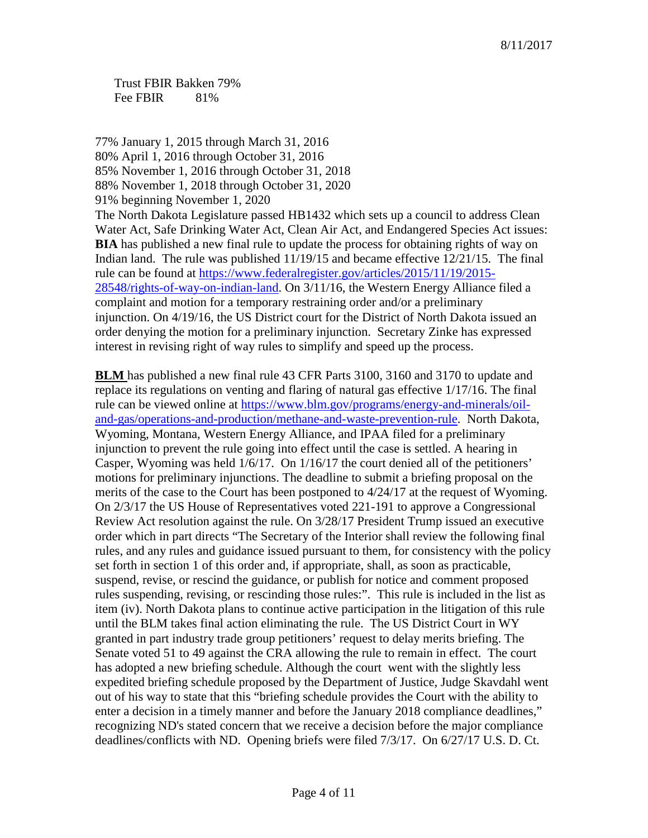Trust FBIR Bakken 79% Fee FBIR 81%

77% January 1, 2015 through March 31, 2016 80% April 1, 2016 through October 31, 2016 85% November 1, 2016 through October 31, 2018 88% November 1, 2018 through October 31, 2020 91% beginning November 1, 2020 The North Dakota Legislature passed HB1432 which sets up a council to address Clean Water Act, Safe Drinking Water Act, Clean Air Act, and Endangered Species Act issues: **BIA** has published a new final rule to update the process for obtaining rights of way on Indian land. The rule was published 11/19/15 and became effective 12/21/15. The final rule can be found at [https://www.federalregister.gov/articles/2015/11/19/2015-](https://www.federalregister.gov/articles/2015/11/19/2015-28548/rights-of-way-on-indian-land) [28548/rights-of-way-on-indian-land.](https://www.federalregister.gov/articles/2015/11/19/2015-28548/rights-of-way-on-indian-land) On 3/11/16, the Western Energy Alliance filed a complaint and motion for a temporary restraining order and/or a preliminary injunction. On 4/19/16, the US District court for the District of North Dakota issued an order denying the motion for a preliminary injunction. Secretary Zinke has expressed interest in revising right of way rules to simplify and speed up the process.

**BLM** has published a new final rule 43 CFR Parts 3100, 3160 and 3170 to update and replace its regulations on venting and flaring of natural gas effective 1/17/16. The final rule can be viewed online at [https://www.blm.gov/programs/energy-and-minerals/oil](https://www.blm.gov/programs/energy-and-minerals/oil-and-gas/operations-and-production/methane-and-waste-prevention-rule)[and-gas/operations-and-production/methane-and-waste-prevention-rule.](https://www.blm.gov/programs/energy-and-minerals/oil-and-gas/operations-and-production/methane-and-waste-prevention-rule) North Dakota, Wyoming, Montana, Western Energy Alliance, and IPAA filed for a preliminary injunction to prevent the rule going into effect until the case is settled. A hearing in Casper, Wyoming was held 1/6/17. On 1/16/17 the court denied all of the petitioners' motions for preliminary injunctions. The deadline to submit a briefing proposal on the merits of the case to the Court has been postponed to 4/24/17 at the request of Wyoming. On 2/3/17 the US House of Representatives voted 221-191 to approve a Congressional Review Act resolution against the rule. On 3/28/17 President Trump issued an executive order which in part directs "The Secretary of the Interior shall review the following final rules, and any rules and guidance issued pursuant to them, for consistency with the policy set forth in section 1 of this order and, if appropriate, shall, as soon as practicable, suspend, revise, or rescind the guidance, or publish for notice and comment proposed rules suspending, revising, or rescinding those rules:". This rule is included in the list as item (iv). North Dakota plans to continue active participation in the litigation of this rule until the BLM takes final action eliminating the rule. The US District Court in WY granted in part industry trade group petitioners' request to delay merits briefing. The Senate voted 51 to 49 against the CRA allowing the rule to remain in effect. The court has adopted a new briefing schedule. Although the court went with the slightly less expedited briefing schedule proposed by the Department of Justice, Judge Skavdahl went out of his way to state that this "briefing schedule provides the Court with the ability to enter a decision in a timely manner and before the January 2018 compliance deadlines," recognizing ND's stated concern that we receive a decision before the major compliance deadlines/conflicts with ND. Opening briefs were filed 7/3/17. On 6/27/17 U.S. D. Ct.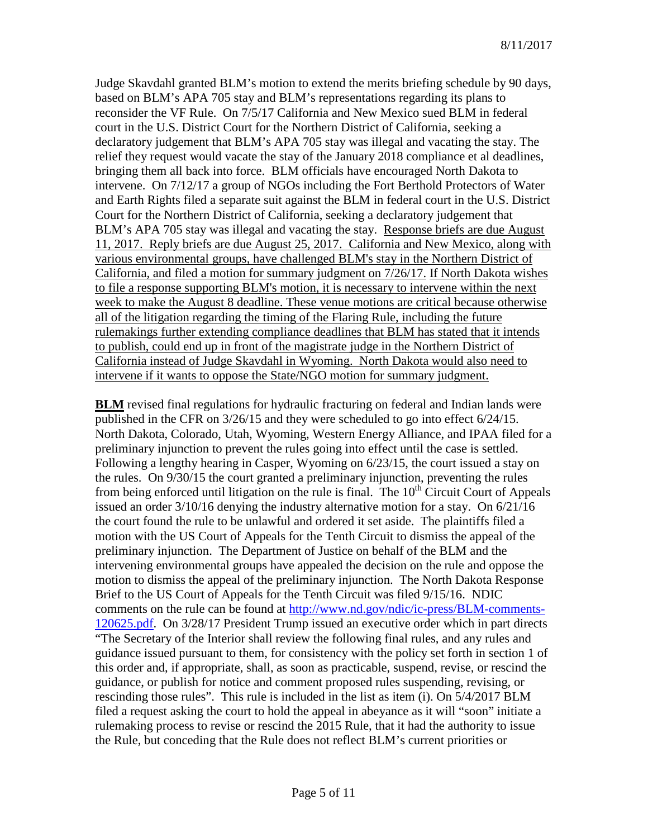Judge Skavdahl granted BLM's motion to extend the merits briefing schedule by 90 days, based on BLM's APA 705 stay and BLM's representations regarding its plans to reconsider the VF Rule. On 7/5/17 California and New Mexico sued BLM in federal court in the U.S. District Court for the Northern District of California, seeking a declaratory judgement that BLM's APA 705 stay was illegal and vacating the stay. The relief they request would vacate the stay of the January 2018 compliance et al deadlines, bringing them all back into force. BLM officials have encouraged North Dakota to intervene. On 7/12/17 a group of NGOs including the Fort Berthold Protectors of Water and Earth Rights filed a separate suit against the BLM in federal court in the U.S. District Court for the Northern District of California, seeking a declaratory judgement that BLM's APA 705 stay was illegal and vacating the stay. Response briefs are due August 11, 2017. Reply briefs are due August 25, 2017. California and New Mexico, along with various environmental groups, have challenged BLM's stay in the Northern District of California, and filed a motion for summary judgment on 7/26/17. If North Dakota wishes to file a response supporting BLM's motion, it is necessary to intervene within the next week to make the August 8 deadline. These venue motions are critical because otherwise all of the litigation regarding the timing of the Flaring Rule, including the future rulemakings further extending compliance deadlines that BLM has stated that it intends to publish, could end up in front of the magistrate judge in the Northern District of California instead of Judge Skavdahl in Wyoming. North Dakota would also need to intervene if it wants to oppose the State/NGO motion for summary judgment.

**BLM** revised final regulations for hydraulic fracturing on federal and Indian lands were published in the CFR on 3/26/15 and they were scheduled to go into effect 6/24/15. North Dakota, Colorado, Utah, Wyoming, Western Energy Alliance, and IPAA filed for a preliminary injunction to prevent the rules going into effect until the case is settled. Following a lengthy hearing in Casper, Wyoming on 6/23/15, the court issued a stay on the rules. On 9/30/15 the court granted a preliminary injunction, preventing the rules from being enforced until litigation on the rule is final. The  $10<sup>th</sup>$  Circuit Court of Appeals issued an order 3/10/16 denying the industry alternative motion for a stay. On 6/21/16 the court found the rule to be unlawful and ordered it set aside. The plaintiffs filed a motion with the US Court of Appeals for the Tenth Circuit to dismiss the appeal of the preliminary injunction. The Department of Justice on behalf of the BLM and the intervening environmental groups have appealed the decision on the rule and oppose the motion to dismiss the appeal of the preliminary injunction. The North Dakota Response Brief to the US Court of Appeals for the Tenth Circuit was filed 9/15/16. NDIC comments on the rule can be found at [http://www.nd.gov/ndic/ic-press/BLM-comments-](http://www.nd.gov/ndic/ic-press/BLM-comments-120625.pdf)[120625.pdf.](http://www.nd.gov/ndic/ic-press/BLM-comments-120625.pdf) On 3/28/17 President Trump issued an executive order which in part directs "The Secretary of the Interior shall review the following final rules, and any rules and guidance issued pursuant to them, for consistency with the policy set forth in section 1 of this order and, if appropriate, shall, as soon as practicable, suspend, revise, or rescind the guidance, or publish for notice and comment proposed rules suspending, revising, or rescinding those rules". This rule is included in the list as item (i). On 5/4/2017 BLM filed a request asking the court to hold the appeal in abeyance as it will "soon" initiate a rulemaking process to revise or rescind the 2015 Rule, that it had the authority to issue the Rule, but conceding that the Rule does not reflect BLM's current priorities or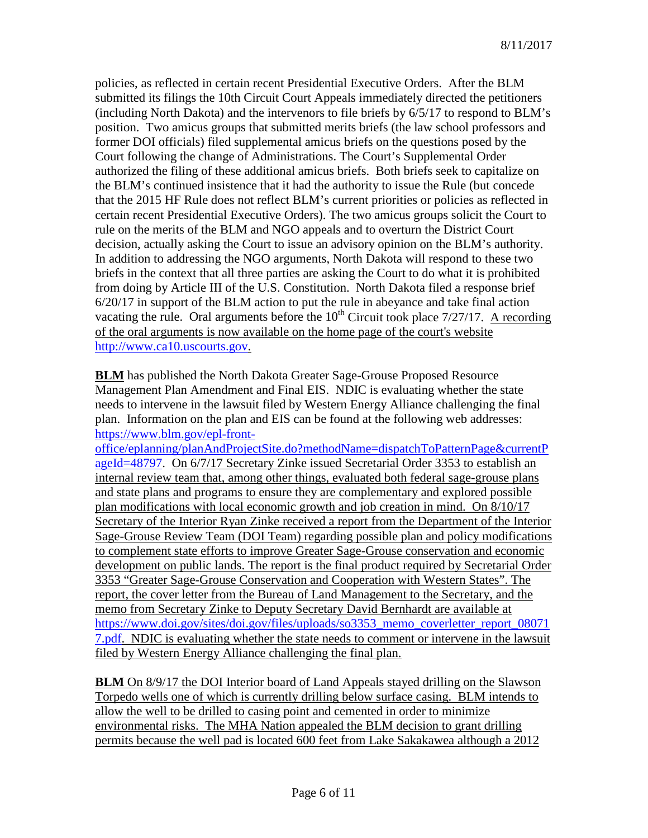policies, as reflected in certain recent Presidential Executive Orders. After the BLM submitted its filings the 10th Circuit Court Appeals immediately directed the petitioners (including North Dakota) and the intervenors to file briefs by 6/5/17 to respond to BLM's position. Two amicus groups that submitted merits briefs (the law school professors and former DOI officials) filed supplemental amicus briefs on the questions posed by the Court following the change of Administrations. The Court's Supplemental Order authorized the filing of these additional amicus briefs. Both briefs seek to capitalize on the BLM's continued insistence that it had the authority to issue the Rule (but concede that the 2015 HF Rule does not reflect BLM's current priorities or policies as reflected in certain recent Presidential Executive Orders). The two amicus groups solicit the Court to rule on the merits of the BLM and NGO appeals and to overturn the District Court decision, actually asking the Court to issue an advisory opinion on the BLM's authority. In addition to addressing the NGO arguments, North Dakota will respond to these two briefs in the context that all three parties are asking the Court to do what it is prohibited from doing by Article III of the U.S. Constitution. North Dakota filed a response brief 6/20/17 in support of the BLM action to put the rule in abeyance and take final action vacating the rule. Oral arguments before the  $10^{th}$  Circuit took place  $7/27/17$ . A recording of the oral arguments is now available on the home page of the court's website [http://www.ca10.uscourts.gov.](https://urldefense.proofpoint.com/v2/url?u=http-3A__www.ca10.uscourts.gov&d=DwMGaQ&c=2s2mvbfY0UoSKkl6_Ol9wg&r=-wqsZnBxny594KY8HeElow&m=Ul_VtJUX6iW5pvHjCcBxUWtskC0F4Dhry3sPtcEHvCw&s=laRHiLDv5w8otcQWQjpn82WMieoB2AZ-Q4M1LFQPL5s&e=)

**BLM** has published the North Dakota Greater Sage-Grouse Proposed Resource Management Plan Amendment and Final EIS. NDIC is evaluating whether the state needs to intervene in the lawsuit filed by Western Energy Alliance challenging the final plan. Information on the plan and EIS can be found at the following web addresses: [https://www.blm.gov/epl-front-](https://www.blm.gov/epl-front-office/eplanning/planAndProjectSite.do?methodName=dispatchToPatternPage¤tPageId=48797)

[office/eplanning/planAndProjectSite.do?methodName=dispatchToPatternPage&currentP](https://www.blm.gov/epl-front-office/eplanning/planAndProjectSite.do?methodName=dispatchToPatternPage¤tPageId=48797) [ageId=48797.](https://www.blm.gov/epl-front-office/eplanning/planAndProjectSite.do?methodName=dispatchToPatternPage¤tPageId=48797) On 6/7/17 Secretary Zinke issued Secretarial Order 3353 to establish an internal review team that, among other things, evaluated both federal sage-grouse plans and state plans and programs to ensure they are complementary and explored possible plan modifications with local economic growth and job creation in mind. On 8/10/17 Secretary of the Interior Ryan Zinke received a report from the Department of the Interior Sage-Grouse Review Team (DOI Team) regarding possible plan and policy modifications to complement state efforts to improve Greater Sage-Grouse conservation and economic development on public lands. The report is the final product required by Secretarial Order 3353 "Greater Sage-Grouse Conservation and Cooperation with Western States". The report, the cover letter from the Bureau of Land Management to the Secretary, and the memo from Secretary Zinke to Deputy Secretary David Bernhardt are available at [https://www.doi.gov/sites/doi.gov/files/uploads/so3353\\_memo\\_coverletter\\_report\\_08071](https://www.doi.gov/sites/doi.gov/files/uploads/so3353_memo_coverletter_report_080717.pdf) [7.pdf.](https://www.doi.gov/sites/doi.gov/files/uploads/so3353_memo_coverletter_report_080717.pdf) NDIC is evaluating whether the state needs to comment or intervene in the lawsuit filed by Western Energy Alliance challenging the final plan.

**BLM** On 8/9/17 the DOI Interior board of Land Appeals stayed drilling on the Slawson Torpedo wells one of which is currently drilling below surface casing. BLM intends to allow the well to be drilled to casing point and cemented in order to minimize environmental risks. The MHA Nation appealed the BLM decision to grant drilling permits because the well pad is located 600 feet from Lake Sakakawea although a 2012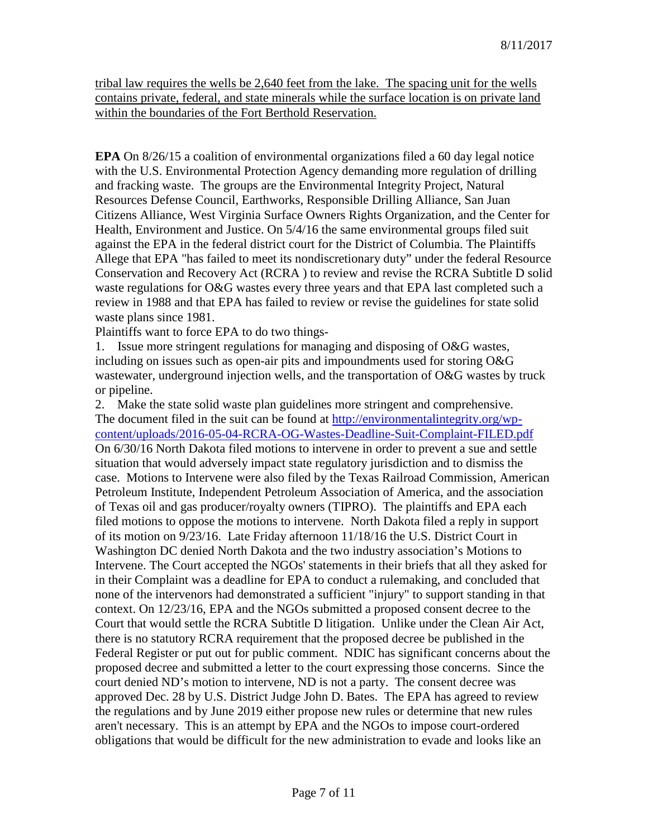tribal law requires the wells be 2,640 feet from the lake. The spacing unit for the wells contains private, federal, and state minerals while the surface location is on private land within the boundaries of the Fort Berthold Reservation.

**EPA** On 8/26/15 a coalition of environmental organizations filed a 60 day legal notice with the U.S. Environmental Protection Agency demanding more regulation of drilling and fracking waste. The groups are the Environmental Integrity Project, Natural Resources Defense Council, Earthworks, Responsible Drilling Alliance, San Juan Citizens Alliance, West Virginia Surface Owners Rights Organization, and the Center for Health, Environment and Justice. On 5/4/16 the same environmental groups filed suit against the EPA in the federal district court for the District of Columbia. The Plaintiffs Allege that EPA "has failed to meet its nondiscretionary duty" under the federal Resource Conservation and Recovery Act (RCRA ) to review and revise the RCRA Subtitle D solid waste regulations for O&G wastes every three years and that EPA last completed such a review in 1988 and that EPA has failed to review or revise the guidelines for state solid waste plans since 1981.

Plaintiffs want to force EPA to do two things-

1. Issue more stringent regulations for managing and disposing of O&G wastes, including on issues such as open-air pits and impoundments used for storing O&G wastewater, underground injection wells, and the transportation of O&G wastes by truck or pipeline.

2. Make the state solid waste plan guidelines more stringent and comprehensive. The document filed in the suit can be found at [http://environmentalintegrity.org/wp](http://environmentalintegrity.org/wp-content/uploads/2016-05-04-RCRA-OG-Wastes-Deadline-Suit-Complaint-FILED.pdf)[content/uploads/2016-05-04-RCRA-OG-Wastes-Deadline-Suit-Complaint-FILED.pdf](http://environmentalintegrity.org/wp-content/uploads/2016-05-04-RCRA-OG-Wastes-Deadline-Suit-Complaint-FILED.pdf) On 6/30/16 North Dakota filed motions to intervene in order to prevent a sue and settle situation that would adversely impact state regulatory jurisdiction and to dismiss the case. Motions to Intervene were also filed by the Texas Railroad Commission, American Petroleum Institute, Independent Petroleum Association of America, and the association of Texas oil and gas producer/royalty owners (TIPRO). The plaintiffs and EPA each filed motions to oppose the motions to intervene. North Dakota filed a reply in support of its motion on 9/23/16. Late Friday afternoon 11/18/16 the U.S. District Court in Washington DC denied North Dakota and the two industry association's Motions to Intervene. The Court accepted the NGOs' statements in their briefs that all they asked for in their Complaint was a deadline for EPA to conduct a rulemaking, and concluded that none of the intervenors had demonstrated a sufficient "injury" to support standing in that context. On 12/23/16, EPA and the NGOs submitted a proposed consent decree to the Court that would settle the RCRA Subtitle D litigation. Unlike under the Clean Air Act, there is no statutory RCRA requirement that the proposed decree be published in the Federal Register or put out for public comment. NDIC has significant concerns about the proposed decree and submitted a letter to the court expressing those concerns. Since the court denied ND's motion to intervene, ND is not a party. The consent decree was approved Dec. 28 by U.S. District Judge John D. Bates. The EPA has agreed to review the regulations and by June 2019 either propose new rules or determine that new rules aren't necessary. This is an attempt by EPA and the NGOs to impose court-ordered obligations that would be difficult for the new administration to evade and looks like an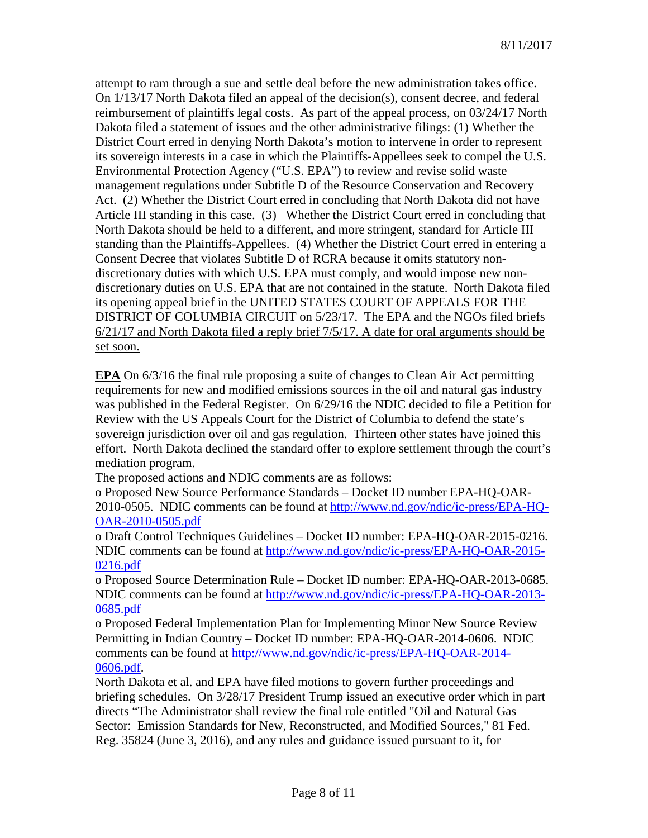attempt to ram through a sue and settle deal before the new administration takes office. On 1/13/17 North Dakota filed an appeal of the decision(s), consent decree, and federal reimbursement of plaintiffs legal costs. As part of the appeal process, on 03/24/17 North Dakota filed a statement of issues and the other administrative filings: (1) Whether the District Court erred in denying North Dakota's motion to intervene in order to represent its sovereign interests in a case in which the Plaintiffs-Appellees seek to compel the U.S. Environmental Protection Agency ("U.S. EPA") to review and revise solid waste management regulations under Subtitle D of the Resource Conservation and Recovery Act. (2) Whether the District Court erred in concluding that North Dakota did not have Article III standing in this case. (3) Whether the District Court erred in concluding that North Dakota should be held to a different, and more stringent, standard for Article III standing than the Plaintiffs-Appellees. (4) Whether the District Court erred in entering a Consent Decree that violates Subtitle D of RCRA because it omits statutory nondiscretionary duties with which U.S. EPA must comply, and would impose new nondiscretionary duties on U.S. EPA that are not contained in the statute. North Dakota filed its opening appeal brief in the UNITED STATES COURT OF APPEALS FOR THE DISTRICT OF COLUMBIA CIRCUIT on 5/23/17. The EPA and the NGOs filed briefs 6/21/17 and North Dakota filed a reply brief 7/5/17. A date for oral arguments should be set soon.

**EPA** On 6/3/16 the final rule proposing a suite of changes to Clean Air Act permitting requirements for new and modified emissions sources in the oil and natural gas industry was published in the Federal Register. On 6/29/16 the NDIC decided to file a Petition for Review with the US Appeals Court for the District of Columbia to defend the state's sovereign jurisdiction over oil and gas regulation. Thirteen other states have joined this effort. North Dakota declined the standard offer to explore settlement through the court's mediation program.

The proposed actions and NDIC comments are as follows:

o Proposed New Source Performance Standards – Docket ID number EPA-HQ-OAR-2010-0505. NDIC comments can be found at [http://www.nd.gov/ndic/ic-press/EPA-HQ-](http://www.nd.gov/ndic/ic-press/EPA-HQ-OAR-2010-0505.pdf)[OAR-2010-0505.pdf](http://www.nd.gov/ndic/ic-press/EPA-HQ-OAR-2010-0505.pdf)

o Draft Control Techniques Guidelines – Docket ID number: EPA-HQ-OAR-2015-0216. NDIC comments can be found at [http://www.nd.gov/ndic/ic-press/EPA-HQ-OAR-2015-](http://www.nd.gov/ndic/ic-press/EPA-HQ-OAR-2015-0216.pdf) [0216.pdf](http://www.nd.gov/ndic/ic-press/EPA-HQ-OAR-2015-0216.pdf)

o Proposed Source Determination Rule – Docket ID number: EPA-HQ-OAR-2013-0685. NDIC comments can be found at [http://www.nd.gov/ndic/ic-press/EPA-HQ-OAR-2013-](http://www.nd.gov/ndic/ic-press/EPA-HQ-OAR-2013-0685.pdf) [0685.pdf](http://www.nd.gov/ndic/ic-press/EPA-HQ-OAR-2013-0685.pdf)

o Proposed Federal Implementation Plan for Implementing Minor New Source Review Permitting in Indian Country – Docket ID number: EPA-HQ-OAR-2014-0606. NDIC comments can be found at [http://www.nd.gov/ndic/ic-press/EPA-HQ-OAR-2014-](http://www.nd.gov/ndic/ic-press/EPA-HQ-OAR-2014-0606.pdf) [0606.pdf.](http://www.nd.gov/ndic/ic-press/EPA-HQ-OAR-2014-0606.pdf)

North Dakota et al. and EPA have filed motions to govern further proceedings and briefing schedules. On 3/28/17 President Trump issued an executive order which in part directs "The Administrator shall review the final rule entitled "Oil and Natural Gas Sector: Emission Standards for New, Reconstructed, and Modified Sources," 81 Fed. Reg. 35824 (June 3, 2016), and any rules and guidance issued pursuant to it, for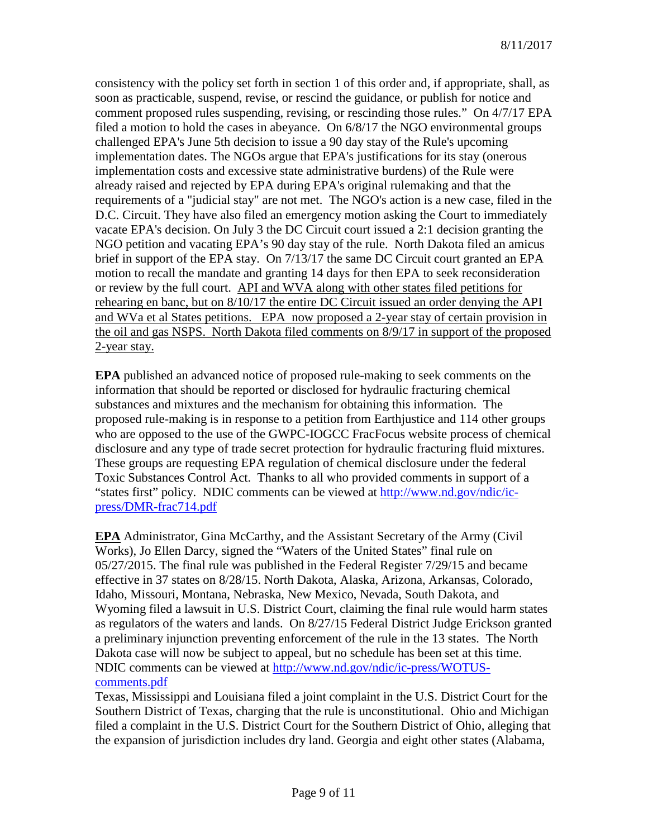consistency with the policy set forth in section 1 of this order and, if appropriate, shall, as soon as practicable, suspend, revise, or rescind the guidance, or publish for notice and comment proposed rules suspending, revising, or rescinding those rules." On 4/7/17 EPA filed a motion to hold the cases in abeyance. On 6/8/17 the NGO environmental groups challenged EPA's June 5th decision to issue a 90 day stay of the Rule's upcoming implementation dates. The NGOs argue that EPA's justifications for its stay (onerous implementation costs and excessive state administrative burdens) of the Rule were already raised and rejected by EPA during EPA's original rulemaking and that the requirements of a "judicial stay" are not met. The NGO's action is a new case, filed in the D.C. Circuit. They have also filed an emergency motion asking the Court to immediately vacate EPA's decision. On July 3 the DC Circuit court issued a 2:1 decision granting the NGO petition and vacating EPA's 90 day stay of the rule. North Dakota filed an amicus brief in support of the EPA stay. On 7/13/17 the same DC Circuit court granted an EPA motion to recall the mandate and granting 14 days for then EPA to seek reconsideration or review by the full court. API and WVA along with other states filed petitions for rehearing en banc, but on 8/10/17 the entire DC Circuit issued an order denying the API and WVa et al States petitions. EPA now proposed a 2-year stay of certain provision in the oil and gas NSPS. North Dakota filed comments on 8/9/17 in support of the proposed 2-year stay.

**EPA** published an advanced notice of proposed rule-making to seek comments on the information that should be reported or disclosed for hydraulic fracturing chemical substances and mixtures and the mechanism for obtaining this information. The proposed rule-making is in response to a petition from Earthjustice and 114 other groups who are opposed to the use of the GWPC-IOGCC FracFocus website process of chemical disclosure and any type of trade secret protection for hydraulic fracturing fluid mixtures. These groups are requesting EPA regulation of chemical disclosure under the federal Toxic Substances Control Act. Thanks to all who provided comments in support of a "states first" policy. NDIC comments can be viewed at [http://www.nd.gov/ndic/ic](http://www.nd.gov/ndic/ic-press/DMR-frac714.pdf)[press/DMR-frac714.pdf](http://www.nd.gov/ndic/ic-press/DMR-frac714.pdf)

**EPA** Administrator, Gina McCarthy, and the Assistant Secretary of the Army (Civil Works), Jo Ellen Darcy, signed the "Waters of the United States" final rule on 05/27/2015. The final rule was published in the Federal Register 7/29/15 and became effective in 37 states on 8/28/15. North Dakota, Alaska, Arizona, Arkansas, Colorado, Idaho, Missouri, Montana, Nebraska, New Mexico, Nevada, South Dakota, and Wyoming filed a lawsuit in U.S. District Court, claiming the final rule would harm states as regulators of the waters and lands. On 8/27/15 Federal District Judge Erickson granted a preliminary injunction preventing enforcement of the rule in the 13 states. The North Dakota case will now be subject to appeal, but no schedule has been set at this time. NDIC comments can be viewed at [http://www.nd.gov/ndic/ic-press/WOTUS](http://www.nd.gov/ndic/ic-press/WOTUS-comments.pdf)[comments.pdf](http://www.nd.gov/ndic/ic-press/WOTUS-comments.pdf)

Texas, Mississippi and Louisiana filed a joint complaint in the U.S. District Court for the Southern District of Texas, charging that the rule is unconstitutional. Ohio and Michigan filed a complaint in the U.S. District Court for the Southern District of Ohio, alleging that the expansion of jurisdiction includes dry land. Georgia and eight other states (Alabama,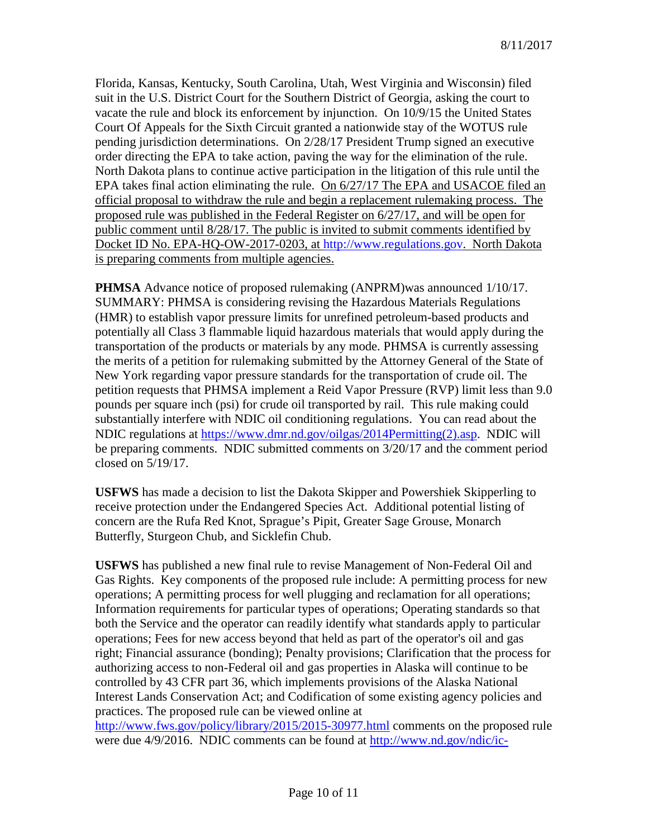Florida, Kansas, Kentucky, South Carolina, Utah, West Virginia and Wisconsin) filed suit in the U.S. District Court for the Southern District of Georgia, asking the court to vacate the rule and block its enforcement by injunction. On 10/9/15 the United States Court Of Appeals for the Sixth Circuit granted a nationwide stay of the WOTUS rule pending jurisdiction determinations. On 2/28/17 President Trump signed an executive order directing the EPA to take action, paving the way for the elimination of the rule. North Dakota plans to continue active participation in the litigation of this rule until the EPA takes final action eliminating the rule. On 6/27/17 The EPA and USACOE filed an official proposal to withdraw the rule and begin a replacement rulemaking process. The proposed rule was published in the Federal Register on 6/27/17, and will be open for public comment until 8/28/17. The public is invited to submit comments identified by Docket ID No. EPA-HQ-OW-2017-0203, at [http://www.regulations.gov.](http://www.regulations.gov/) North Dakota is preparing comments from multiple agencies.

**PHMSA** Advance notice of proposed rulemaking (ANPRM)was announced 1/10/17. SUMMARY: PHMSA is considering revising the Hazardous Materials Regulations (HMR) to establish vapor pressure limits for unrefined petroleum-based products and potentially all Class 3 flammable liquid hazardous materials that would apply during the transportation of the products or materials by any mode. PHMSA is currently assessing the merits of a petition for rulemaking submitted by the Attorney General of the State of New York regarding vapor pressure standards for the transportation of crude oil. The petition requests that PHMSA implement a Reid Vapor Pressure (RVP) limit less than 9.0 pounds per square inch (psi) for crude oil transported by rail. This rule making could substantially interfere with NDIC oil conditioning regulations. You can read about the NDIC regulations at [https://www.dmr.nd.gov/oilgas/2014Permitting\(2\).asp.](https://www.dmr.nd.gov/oilgas/2014Permitting(2).asp) NDIC will be preparing comments. NDIC submitted comments on 3/20/17 and the comment period closed on 5/19/17.

**USFWS** has made a decision to list the Dakota Skipper and Powershiek Skipperling to receive protection under the Endangered Species Act. Additional potential listing of concern are the Rufa Red Knot, Sprague's Pipit, Greater Sage Grouse, Monarch Butterfly, Sturgeon Chub, and Sicklefin Chub.

**USFWS** has published a new final rule to revise Management of Non-Federal Oil and Gas Rights. Key components of the proposed rule include: A permitting process for new operations; A permitting process for well plugging and reclamation for all operations; Information requirements for particular types of operations; Operating standards so that both the Service and the operator can readily identify what standards apply to particular operations; Fees for new access beyond that held as part of the operator's oil and gas right; Financial assurance (bonding); Penalty provisions; Clarification that the process for authorizing access to non-Federal oil and gas properties in Alaska will continue to be controlled by 43 CFR part 36, which implements provisions of the Alaska National Interest Lands Conservation Act; and Codification of some existing agency policies and practices. The proposed rule can be viewed online at

<http://www.fws.gov/policy/library/2015/2015-30977.html> comments on the proposed rule were due 4/9/2016. NDIC comments can be found at [http://www.nd.gov/ndic/ic-](http://www.nd.gov/ndic/ic-press/DMR-FWS-0086.pdf)